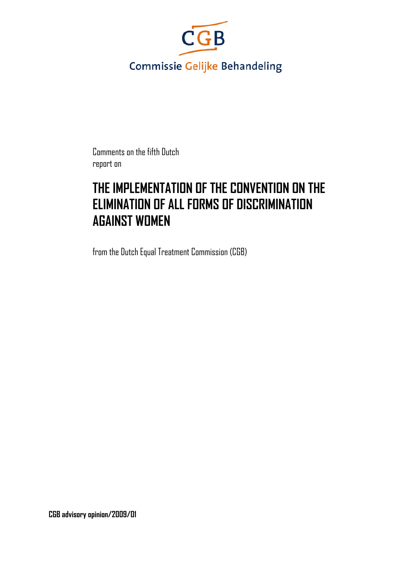

Comments on the fifth Dutch report on

# **THE IMPLEMENTATION OF THE CONVENTION ON THE ELIMINATION OF ALL FORMS OF DISCRIMINATION AGAINST WOMEN**

from the Dutch Equal Treatment Commission (CGB)

**CGB advisory opinion/2009/01**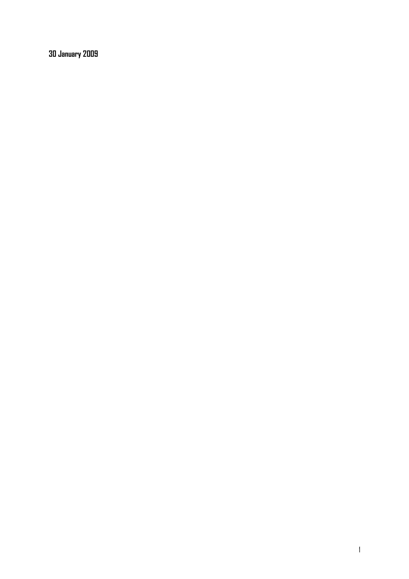**30 January 2009**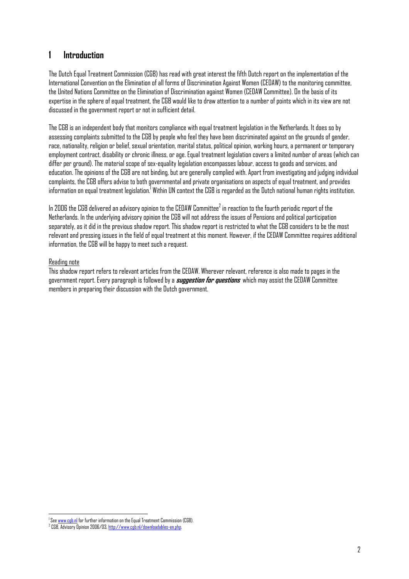## **1 Introduction**

The Dutch Equal Treatment Commission (CGB) has read with great interest the fifth Dutch report on the implementation of the International Convention on the Elimination of all forms of Discrimination Against Women (CEDAW) to the monitoring committee, the United Nations Committee on the Elimination of Discrimination against Women (CEDAW Committee). On the basis of its expertise in the sphere of equal treatment, the CGB would like to draw attention to a number of points which in its view are not discussed in the government report or not in sufficient detail.

The CGB is an independent body that monitors compliance with equal treatment legislation in the Netherlands. It does so by assessing complaints submitted to the CGB by people who feel they have been discriminated against on the grounds of gender, race, nationality, religion or belief, sexual orientation, marital status, political opinion, working hours, a permanent or temporary employment contract, disability or chronic illness, or age. Equal treatment legislation covers a limited number of areas (which can differ per ground). The material scope of sex-equality legislation encompasses labour, access to goods and services, and education. The opinions of the CGB are not binding, but are generally complied with. Apart from investigating and judging individual complaints, the CGB offers advise to both governmental and private organisations on aspects of equal treatment, and provides information on equal treatment legislation.<sup>I</sup> Within UN context the CGB is regarded as the Dutch national human rights institution.

In 2006 the CGB delivered an advisory opinion to the CEDAW Committee $^2$  in reaction to the fourth periodic report of the Netherlands. In the underlying advisory opinion the CGB will not address the issues of Pensions and political participation separately, as it did in the previous shadow report. This shadow report is restricted to what the CGB considers to be the most relevant and pressing issues in the field of equal treatment at this moment. However, if the CEDAW Committee requires additional information, the CGB will be happy to meet such a request.

#### Reading note

 $\overline{\phantom{a}}$ 

This shadow report refers to relevant articles from the CEDAW. Wherever relevant, reference is also made to pages in the government report. Every paragraph is followed by a **suggestion for questions** which may assist the CEDAW Committee members in preparing their discussion with the Dutch government.

<sup>&</sup>lt;sup>1</sup> See <u>www.cgb.nl</u> for further information on the Equal Treatment Commission (CGB).<br><sup>2</sup> CCB, Advisory Drining 2006 (02 http://www.ccb.al/downloadables.or.abs

<sup>&</sup>lt;sup>2</sup> CGB, Advisory Opinion 2006/03, <u>http://www.cgb.nl/downloadables-en.php</u>.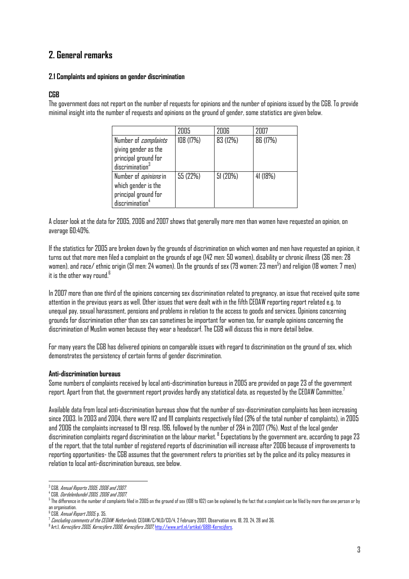# **2. General remarks**

#### **2.1 Complaints and opinions on gender discrimination**

#### **CGB**

The government does not report on the number of requests for opinions and the number of opinions issued by the CGB. To provide minimal insight into the number of requests and opinions on the ground of gender, some statistics are given below.

|                              | 2005      | 2006     | 2007     |
|------------------------------|-----------|----------|----------|
| Number of <i>complaints</i>  | 108 (17%) | 83 (12%) | 86 (17%) |
| giving gender as the         |           |          |          |
| principal ground for         |           |          |          |
| discription <sup>3</sup>     |           |          |          |
| Number of <i>opinions</i> in | 55 (22%)  | 51(20%)  | 41 (18%) |
| which gender is the          |           |          |          |
| principal ground for         |           |          |          |
| discrimination <sup>4</sup>  |           |          |          |

A closer look at the data for 2005, 2006 and 2007 shows that generally more men than women have requested an opinion, on average 60:40%.

If the statistics for 2005 are broken down by the grounds of discrimination on which women and men have requested an opinion, it turns out that more men filed a complaint on the grounds of age (142 men: 50 women), disability or chronic illness (36 men: 28 women), and race/ ethnic origin (51 men: 24 women). On the grounds of sex (79 women: 23 men $^5$ ) and religion (18 women: 7 men) it is the other way round. $^6$ 

In 2007 more than one third of the opinions concerning sex discrimination related to pregnancy, an issue that received quite some attention in the previous years as well. Other issues that were dealt with in the fifth CEDAW reporting report related e.g. to unequal pay, sexual harassment, pensions and problems in relation to the access to goods and services. Opinions concerning grounds for discrimination other than sex can sometimes be important for women too, for example opinions concerning the discrimination of Muslim women because they wear a headscarf. The CGB will discuss this in more detail below.

For many years the CGB has delivered opinions on comparable issues with regard to discrimination on the ground of sex, which demonstrates the persistency of certain forms of gender discrimination.

#### **Anti-discrimination bureaus**

Some numbers of complaints received by local anti-discrimination bureaus in 2005 are provided on page 23 of the government report. Apart from that, the government report provides hardly any statistical data, as requested by the CEDAW Committee.7

Available data from local anti-discrimination bureaus show that the number of sex-discrimination complaints has been increasing since 2003. In 2003 and 2004, there were 112 and 111 complaints respectively filed (3% of the total number of complaints), in 2005 and 2006 the complaints increased to 191 resp. 196, followed by the number of 284 in 2007 (7%). Most of the local gender discrimination complaints regard discrimination on the labour market. 8 Expectations by the government are, according to page 23 of the report, that the total number of registered reports of discrimination will increase after 2006 because of improvements to reporting opportunities- the CGB assumes that the government refers to priorities set by the police and its policy measures in relation to local anti-discrimination bureaus, see below.

 $\overline{a}$ <sup>3</sup> CGB, *Annual Reports 2005, 2006 and 2007.*<br>4 PCB*, Deadelechuadel 2005, 2006 and 2007* 

<sup>&</sup>lt;sup>4</sup> CGB*. Dordelenbundel 2005, 2006 and 2007.*<br><sup>5</sup> The difference in the number of complaints filed in 2005 on the ground of sex (108 to 102) can be explained by the fact that a complaint can be filed by more than one pers an organisation.

<sup>&</sup>lt;sup>6</sup> CGB, *Annual Report 2005*, p. 35.<br><sup>7</sup> Canaluding asmmanta af the CEL

Concluding comments of the CEDAW: Netherlands, CEDAW/C/NLD/CO/4, 2 February 2007, Observation nrs. 18, 20, 24, 28 and 36.

<sup>&</sup>lt;sup>8</sup> Art.1, *Kerncijfers 2005, Kerncijfers 2006, Kerncijfers 2007,* <u>http://www.art1.nl/artikel/6881-Kerncijfers</u>.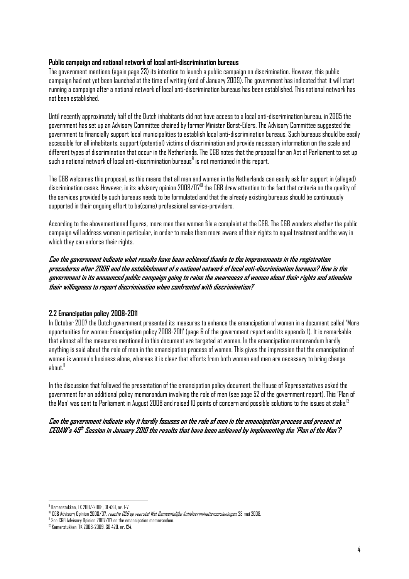#### **Public campaign and national network of local anti-discrimination bureaus**

The government mentions (again page 23) its intention to launch a public campaign on discrimination. However, this public campaign had not yet been launched at the time of writing (end of January 2009). The government has indicated that it will start running a campaign after a national network of local anti-discrimination bureaus has been established. This national network has not been established.

Until recently approximately half of the Dutch inhabitants did not have access to a local anti-discrimination bureau. in 2005 the government has set up an Advisory Committee chaired by former Minister Borst-Eilers. The Advisory Committee suggested the government to financially support local municipalities to establish local anti-discrimination bureaus. Such bureaus should be easily accessible for all inhabitants, support (potential) victims of discrimination and provide necessary information on the scale and different types of discrimination that occur in the Netherlands. The CGB notes that the proposal for an Act of Parliament to set up such a national network of local anti-discrimination bureaus $^{\textrm{\textregistered}}$  is not mentioned in this report.

The CGB welcomes this proposal, as this means that all men and women in the Netherlands can easily ask for support in (alleged) discrimination cases. However, in its advisory opinion 2008/0710 the CGB drew attention to the fact that criteria on the quality of the services provided by such bureaus needs to be formulated and that the already existing bureaus should be continuously supported in their ongoing effort to be(come) professional service-providers.

According to the abovementioned figures, more men than women file a complaint at the CGB. The CGB wonders whether the public campaign will address women in particular, in order to make them more aware of their rights to equal treatment and the way in which they can enforce their rights.

**Can the government indicate what results have been achieved thanks to the improvements in the registration procedures after 2006 and the establishment of a national network of local anti-discrimination bureaus? How is the government in its announced public campaign going to raise the awareness of women about their rights and stimulate their willingness to report discrimination when confronted with discrimination?**

#### **2.2 Emancipation policy 2008-2011**

In October 2007 the Dutch government presented its measures to enhance the emancipation of women in a document called 'More opportunities for women: Emancipation policy 2008-2011' (page 6 of the government report and its appendix 1). It is remarkable that almost all the measures mentioned in this document are targeted at women. In the emancipation memorandum hardly anything is said about the role of men in the emancipation process of women. This gives the impression that the emancipation of women is women's business alone, whereas it is clear that efforts from both women and men are necessary to bring change about.<sup>11</sup>

In the discussion that followed the presentation of the emancipation policy document, the House of Representatives asked the government for an additional policy memorandum involving the role of men (see page 52 of the government report). This 'Plan of the Man' was sent to Parliament in August 2008 and raised 10 points of concern and possible solutions to the issues at stake.12

#### **Can the government indicate why it hardly focuses on the role of men in the emancipation process and present at CEDAW's 45th Session in January 2010 the results that have been achieved by implementing the 'Plan of the Man'?**

 $\overline{a}$ 

<sup>9</sup> Kamerstukken, TK 2007-2008, 31 439, nr. 1-7.

<sup>&</sup>lt;sup>10</sup> CGB Advisory Opinion 2008/07, *reactie CGB op voorstel Wet Gemeentelijke Antidiscriminatievoorzieningen*, 28 mei 2008.<br><sup>11</sup> See CGB Advisory Opinion 2007/07 on the emancipation memorandum.

<sup>12</sup> Kamerstukken, TK 2008-2009, 30 420, nr. 124.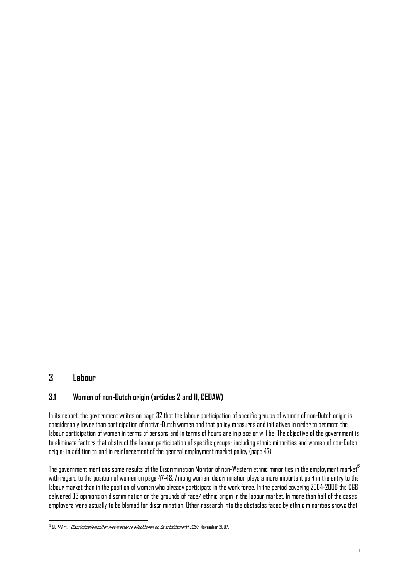## **3 Labour**

## **3.1 Women of non-Dutch origin (articles 2 and 11, CEDAW)**

In its report, the government writes on page 32 that the labour participation of specific groups of women of non-Dutch origin is considerably lower than participation of native-Dutch women and that policy measures and initiatives in order to promote the labour participation of women in terms of persons and in terms of hours are in place or will be. The objective of the government is to eliminate factors that obstruct the labour participation of specific groups- including ethnic minorities and women of non-Dutch origin- in addition to and in reinforcement of the general employment market policy (page 47).

The government mentions some results of the Discrimination Monitor of non-Western ethnic minorities in the employment market <sup>13</sup> with regard to the position of women on page 47-48. Among women, discrimination plays a more important part in the entry to the labour market than in the position of women who already participate in the work force. In the period covering 2004-2006 the CGB delivered 93 opinions on discrimination on the grounds of race/ ethnic origin in the labour market. In more than half of the cases employers were actually to be blamed for discrimination. Other research into the obstacles faced by ethnic minorities shows that

 $\overline{a}$ <sup>13</sup> SCP/Art.I, *Discriminatiemonitor niet-westerse allochtonen op de arbeidsmarkt 2007*, November 2007.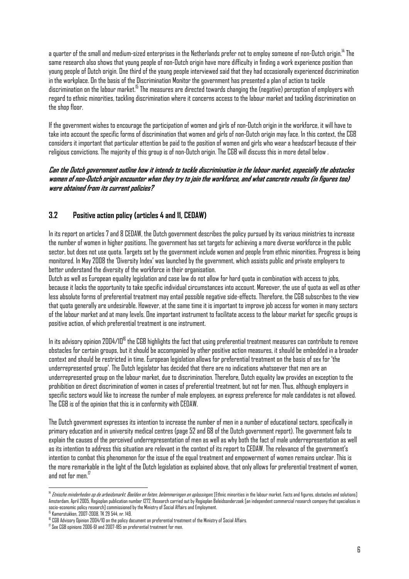a quarter of the small and medium-sized enterprises in the Netherlands prefer not to employ someone of non-Dutch origin.<sup>14</sup> The same research also shows that young people of non-Dutch origin have more difficulty in finding a work experience position than young people of Dutch origin. One third of the young people interviewed said that they had occasionally experienced discrimination in the workplace. On the basis of the Discrimination Monitor the government has presented a plan of action to tackle discrimination on the labour market.15 The measures are directed towards changing the (negative) perception of employers with regard to ethnic minorities, tackling discrimination where it concerns access to the labour market and tackling discrimination on the shop floor.

If the government wishes to encourage the participation of women and girls of non-Dutch origin in the workforce, it will have to take into account the specific forms of discrimination that women and girls of non-Dutch origin may face. In this context, the CGB considers it important that particular attention be paid to the position of women and girls who wear a headscarf because of their religious convictions. The majority of this group is of non-Dutch origin. The CGB will discuss this in more detail below .

#### **Can the Dutch government outline how it intends to tackle discrimination in the labour market, especially the obstacles women of non-Dutch origin encounter when they try to join the workforce, and what concrete results (in figures too) were obtained from its current policies?**

## **3.2 Positive action policy (articles 4 and 11, CEDAW)**

In its report on articles 7 and 8 CEDAW, the Dutch government describes the policy pursued by its various ministries to increase the number of women in higher positions. The government has set targets for achieving a more diverse workforce in the public sector, but does not use quota. Targets set by the government include women and people from ethnic minorities. Progress is being monitored. In May 2008 the 'Diversity Index' was launched by the government, which assists public and private employers to better understand the diversity of the workforce in their organisation.

Dutch as well as European equality legislation and case law do not allow for hard quota in combination with access to jobs, because it lacks the opportunity to take specific individual circumstances into account. Moreover, the use of quota as well as other less absolute forms of preferential treatment may entail possible negative side-effects. Therefore, the CGB subscribes to the view that quota generally are undesirable. However, at the same time it is important to improve job access for women in many sectors of the labour market and at many levels. One important instrument to facilitate access to the labour market for specific groups is positive action, of which preferential treatment is one instrument.

In its advisory opinion 2004/10<sup>16</sup> the CGB highlights the fact that using preferential treatment measures can contribute to remove obstacles for certain groups, but it should be accompanied by other positive action measures, it should be embedded in a broader context and should be restricted in time. European legislation allows for preferential treatment on the basis of sex for 'the underrepresented group'. The Dutch legislator has decided that there are no indications whatsoever that men are an underrepresented group on the labour market, due to discrimination. Therefore, Dutch equality law provides an exception to the prohibition on direct discrimination of women in cases of preferential treatment, but not for men. Thus, although employers in specific sectors would like to increase the number of male employees, an express preference for male candidates is not allowed. The CGB is of the opinion that this is in conformity with CEDAW.

The Dutch government expresses its intention to increase the number of men in a number of educational sectors, specifically in primary education and in university medical centres (page 52 and 68 of the Dutch government report). The government fails to explain the causes of the perceived underrepresentation of men as well as why both the fact of male underrepresentation as well as its intention to address this situation are relevant in the context of its report to CEDAW. The relevance of the government's intention to combat this phenomenon for the issue of the equal treatment and empowerment of women remains unclear. This is the more remarkable in the light of the Dutch legislation as explained above, that only allows for preferential treatment of women, and not for men.<sup>17</sup>

15 Kamerstukken, 2007-2008, TK 29 544, nr. 149.

 $\overline{\phantom{a}}$ <sup>14</sup> Etnische minderheden op de arbeidsmarkt. Beelden en feiten, belemmeringen en oplossingen. Ethnic minorities in the labour market. Facts and figures, obstacles and solutions] Amsterdam, April 2005, Regioplan publication number 1272. Research carried out by Regioplan Beleidsonderzoek [an independent commercial research company that specialises in socio-economic policy research] commissioned by the Ministry of Social Affairs and Employment.

<sup>&</sup>lt;sup>16</sup> CGB Advisory Opinion 2004/10 on the policy document on preferential treatment of the Ministry of Social Affairs.

<sup>&</sup>lt;sup>17</sup> See CGB opinions 2006-61 and 2007-185 on preferential treatment for men.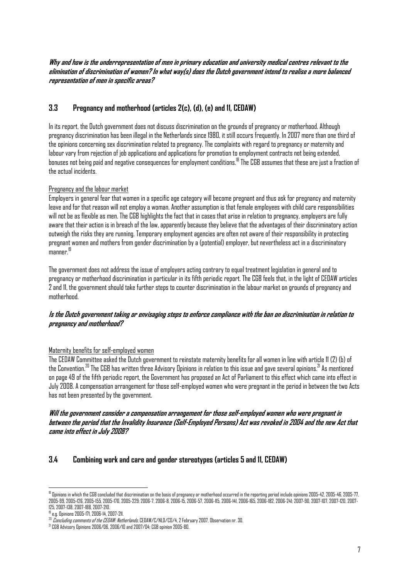**Why and how is the underrepresentation of men in primary education and university medical centres relevant to the elimination of discrimination of women? In what way(s) does the Dutch government intend to realise a more balanced representation of men in specific areas?** 

## **3.3 Pregnancy and motherhood (articles 2(c), (d), (e) and 11, CEDAW)**

In its report, the Dutch government does not discuss discrimination on the grounds of pregnancy or motherhood. Although pregnancy discrimination has been illegal in the Netherlands since 1980, it still occurs frequently. In 2007 more than one third of the opinions concerning sex discrimination related to pregnancy. The complaints with regard to pregnancy or maternity and labour vary from rejection of job applications and applications for promotion to employment contracts not being extended, bonuses not being paid and negative consequences for employment conditions.18 The CGB assumes that these are just a fraction of the actual incidents.

#### Pregnancy and the labour market

Employers in general fear that women in a specific age category will become pregnant and thus ask for pregnancy and maternity leave and for that reason will not employ a woman. Another assumption is that female employees with child care responsibilities will not be as flexible as men. The CGB highlights the fact that in cases that arise in relation to pregnancy, employers are fully aware that their action is in breach of the law, apparently because they believe that the advantages of their discriminatory action outweigh the risks they are running. Temporary employment agencies are often not aware of their responsibility in protecting pregnant women and mothers from gender discrimination by a (potential) employer, but nevertheless act in a discriminatory manner.<sup>19</sup>

The government does not address the issue of employers acting contrary to equal treatment legislation in general and to pregnancy or motherhood discrimination in particular in its fifth periodic report. The CGB feels that, in the light of CEDAW articles 2 and 11, the government should take further steps to counter discrimination in the labour market on grounds of pregnancy and motherhood.

#### **Is the Dutch government taking or envisaging steps to enforce compliance with the ban on discrimination in relation to pregnancy and motherhood?**

#### Maternity benefits for self-employed women

The CEDAW Committee asked the Dutch government to reinstate maternity benefits for all women in line with article 11 (2) (b) of the Convention. $^{20}$  The CGB has written three Advisory Opinions in relation to this issue and gave several opinions. $^{21}$  As mentioned on page 49 of the fifth periodic report, the Government has proposed an Act of Parliament to this effect which came into effect in July 2008. A compensation arrangement for those self-employed women who were pregnant in the period in between the two Acts has not been presented by the government.

#### **Will the government consider a compensation arrangement for those self-employed women who were pregnant in between the period that the Invalidity Insurance (Self-Employed Persons) Act was revoked in 2004 and the new Act that came into effect in July 2008?**

#### **3.4 Combining work and care and gender stereotypes (articles 5 and 11, CEDAW)**

 $\overline{\phantom{a}}$ <sup>18</sup> Opinions in which the CGB concluded that discrimination on the basis of pregnancy or motherhood occurred in the reporting period include opinions 2005-42, 2005-46, 2005-77. 2005-99, 2005-126, 2005-155, 2005-170, 2005-229; 2006-7, 2006-8, 2006-15, 2006-57, 2006-115, 2006-141, 2006-165, 2006-182, 2006-241; 2007-90, 2007-107, 2007-120, 2007- 125, 2007-138, 2007-188, 2007-210.

<sup>19</sup> e.g. Opinions 2005-171, 2006-14, 2007-211.

<sup>&</sup>lt;sup>20</sup> *Concluding comments of the CEDAW: Netherlands*, CEDAW/C/NLD/CO/4, 2 February 2007, Observation nr. 30.<br><sup>21</sup> C*oncluding comments of the CEDAW: Netherlands*, CEDAW/C/NLD/CO/4, 2 February 2007, Observation nr. 30.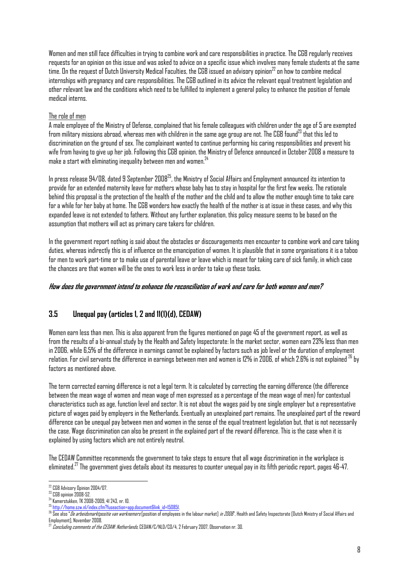Women and men still face difficulties in trying to combine work and care responsibilities in practice. The CGB regularly receives requests for an opinion on this issue and was asked to advice on a specific issue which involves many female students at the same time. On the request of Dutch University Medical Faculties, the CGB issued an advisory opinion $^{22}$  on how to combine medical internships with pregnancy and care responsibilities. The CGB outlined in its advice the relevant equal treatment legislation and other relevant law and the conditions which need to be fulfilled to implement a general policy to enhance the position of female medical interns.

#### The role of men

A male employee of the Ministry of Defense, complained that his female colleagues with children under the age of 5 are exempted from military missions abroad, whereas men with children in the same age group are not. The CGB found<sup>23</sup> that this led to discrimination on the ground of sex. The complainant wanted to continue performing his caring responsibilities and prevent his wife from having to give up her job. Following this CGB opinion, the Ministry of Defence announced in October 2008 a measure to make a start with eliminating inequality between men and women. $24$ 

In press release 94/08, dated 9 September 200825, the Ministry of Social Affairs and Employment announced its intention to provide for an extended maternity leave for mothers whose baby has to stay in hospital for the first few weeks. The rationale behind this proposal is the protection of the health of the mother and the child and to allow the mother enough time to take care for a while for her baby at home. The CGB wonders how exactly the health of the mother is at issue in these cases, and why this expanded leave is not extended to fathers. Without any further explanation, this policy measure seems to be based on the assumption that mothers will act as primary care takers for children.

In the government report nothing is said about the obstacles or discouragements men encounter to combine work and care taking duties, whereas indirectly this is of influence on the emancipation of women. It is plausible that in some organisations it is a taboo for men to work part-time or to make use of parental leave or leave which is meant for taking care of sick family, in which case the chances are that women will be the ones to work less in order to take up these tasks.

#### **How does the government intend to enhance the reconciliation of work and care for both women and men?**

## **3.5 Unequal pay (articles 1, 2 and 11(1)(d), CEDAW)**

Women earn less than men. This is also apparent from the figures mentioned on page 45 of the government report, as well as from the results of a bi-annual study by the Health and Safety Inspectorate: In the market sector, women earn 23% less than men in 2006, while 6,5% of the difference in earnings cannot be explained by factors such as job level or the duration of employment relation. For civil servants the difference in earnings between men and women is 12% in 2006, of which 2.6% is not explained 26 by factors as mentioned above.

The term corrected earning difference is not a legal term. It is calculated by correcting the earning difference (the difference between the mean wage of women and mean wage of men expressed as a percentage of the mean wage of men) for contextual characteristics such as age, function level and sector. It is not about the wages paid by one single employer but a representative picture of wages paid by employers in the Netherlands. Eventually an unexplained part remains. The unexplained part of the reward difference can be unequal pay between men and women in the sense of the equal treatment legislation but, that is not necessarily the case. Wage discrimination can also be present in the explained part of the reward difference. This is the case when it is explained by using factors which are not entirely neutral.

The CEDAW Committee recommends the government to take steps to ensure that all wage discrimination in the workplace is eliminated.<sup>27</sup> The government gives details about its measures to counter unequal pay in its fifth periodic report, pages 46-47.

 $\overline{a}$ 22 CGB Advisory Opinion 2004/07.

<sup>23</sup> CGB opinion 2008-52.

<sup>24</sup> Kamerstukken, TK 2008-2009, 41 243, nr. 10.<br><sup>24</sup> Kamerstukken, TK 2008-2009, 41 243, nr. 10.<br><sup>25</sup> http://home.sz<u>w.nl/index.cfm?fuseaction=app.document&link\_id=150851</u>

 $^{26}$  See also "*De arbeidsmarktpositie van werknemers* (position of employees in the labour market) *in 2006*". Health and Safety Inspectorate (Dutch Ministry of Social Affairs and Employment], November 2008.

<sup>&</sup>lt;sup>27</sup> *Concluding comments of the CEDAW: Netherlands*, CEDAW/C/NLD/CO/4, 2 February 2007, Observation nr. 30.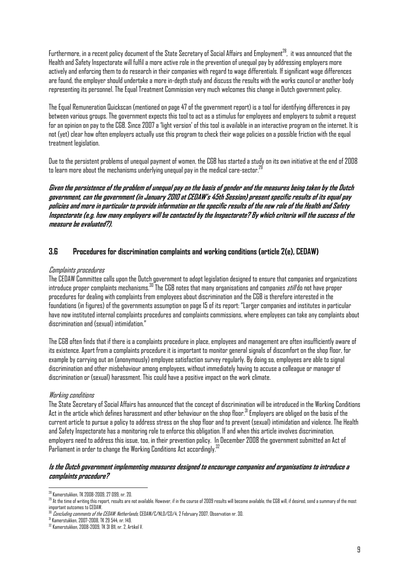Furthermore, in a recent policy document of the State Secretary of Social Affairs and Employment<sup>28</sup>, it was announced that the Health and Safety Inspectorate will fulfil a more active role in the prevention of unequal pay by addressing employers more actively and enforcing them to do research in their companies with regard to wage differentials. If significant wage differences are found, the employer should undertake a more in-depth study and discuss the results with the works council or another body representing its personnel. The Equal Treatment Commission very much welcomes this change in Dutch government policy.

The Equal Remuneration Quickscan (mentioned on page 47 of the government report) is a tool for identifying differences in pay between various groups. The government expects this tool to act as a stimulus for employees and employers to submit a request for an opinion on pay to the CGB. Since 2007 a 'light version' of this tool is available in an interactive program on the internet. It is not (yet) clear how often employers actually use this program to check their wage policies on a possible friction with the equal treatment legislation.

Due to the persistent problems of unequal payment of women, the CGB has started a study on its own initiative at the end of 2008 to learn more about the mechanisms underlying unequal pay in the medical care-sector. $^{29}$ 

**Given the persistence of the problem of unequal pay on the basis of gender and the measures being taken by the Dutch government, can the government (in January 2010 at CEDAW's 45th Session) present specific results of its equal pay policies and more in particular to provide information on the specific results of the new role of the Health and Safety Inspectorate (e.g. how many employers will be contacted by the Inspectorate? By which criteria will the success of the measure be evaluated?).**

#### **3.6 Procedures for discrimination complaints and working conditions (article 2(e), CEDAW)**

#### Complaints procedures

The CEDAW Committee calls upon the Dutch government to adopt legislation designed to ensure that companies and organizations introduce proper complaints mechanisms.<sup>30</sup> The CGB notes that many organisations and companies *still* do not have proper procedures for dealing with complaints from employees about discrimination and the CGB is therefore interested in the foundations (in figures) of the governments assumption on page 15 of its report: "Larger companies and institutes in particular have now instituted internal complaints procedures and complaints commissions, where employees can take any complaints about discrimination and (sexual) intimidation."

The CGB often finds that if there is a complaints procedure in place, employees and management are often insufficiently aware of its existence. Apart from a complaints procedure it is important to monitor general signals of discomfort on the shop floor, for example by carrying out an (anonymously) employee satisfaction survey regularly. By doing so, employees are able to signal discrimination and other misbehaviour among employees, without immediately having to accuse a colleague or manager of discrimination or (sexual) harassment. This could have a positive impact on the work climate.

#### Working conditions

The State Secretary of Social Affairs has announced that the concept of discrimination will be introduced in the Working Conditions Act in the article which defines harassment and other behaviour on the shop floor.<sup>31</sup> Employers are obliged on the basis of the current article to pursue a policy to address stress on the shop floor and to prevent (sexual) intimidation and violence. The Health and Safety Inspectorate has a monitoring role to enforce this obligation. If and when this article involves discrimination, employers need to address this issue, too, in their prevention policy. In December 2008 the government submitted an Act of Parliament in order to change the Working Conditions Act accordingly.<sup>32</sup>

#### **Is the Dutch government implementing measures designed to encourage companies and organisations to introduce a complaints procedure?**

 $\overline{\phantom{a}}$ 28 Kamerstukken, TK 2008-2009, 27 099, nr. 20.

 $^{29}$  At the time of writing this report, results are not available. However, if in the course of 2009 results will become available, the CGB will, if desired, send a summary of the most important outcomes to CEDAW.

 $\frac{30}{20}$  *Concluding comments of the CEDAW: Netherlands*, CEDAW/C/NLD/CO/4, 2 February 2007, Observation nr. 30.<br><sup>31</sup> Kamerstukken, 2007-2008, TK 29 544, nr. 149.

<sup>32</sup> Kamerstukken, 2008-2009, TK 31 811, nr. 2, Artikel V.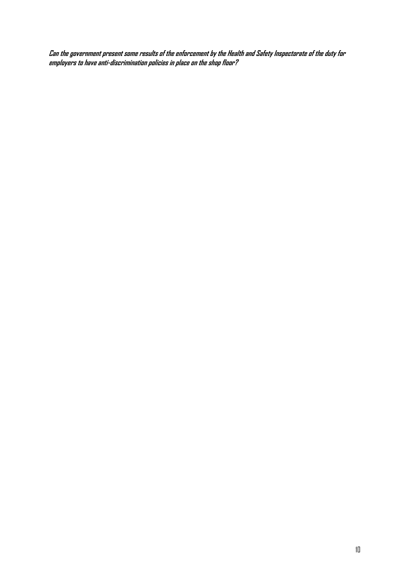**Can the government present some results of the enforcement by the Health and Safety Inspectorate of the duty for employers to have anti-discrimination policies in place on the shop floor?**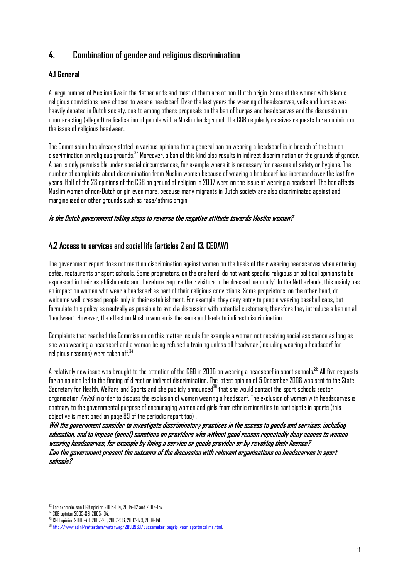# **4. Combination of gender and religious discrimination**

## **4.1 General**

A large number of Muslims live in the Netherlands and most of them are of non-Dutch origin. Some of the women with Islamic religious convictions have chosen to wear a headscarf. Over the last years the wearing of headscarves, veils and burqas was heavily debated in Dutch society, due to among others proposals on the ban of burqas and headscarves and the discussion on counteracting (alleged) radicalisation of people with a Muslim background. The CGB regularly receives requests for an opinion on the issue of religious headwear.

The Commission has already stated in various opinions that a general ban on wearing a headscarf is in breach of the ban on discrimination on religious grounds. $^{33}$  Moreover, a ban of this kind also results in indirect discrimination on the grounds of gender. A ban is only permissible under special circumstances, for example where it is necessary for reasons of safety or hygiene. The number of complaints about discrimination from Muslim women because of wearing a headscarf has increased over the last few years. Half of the 28 opinions of the CGB on ground of religion in 2007 were on the issue of wearing a headscarf. The ban affects Muslim women of non-Dutch origin even more, because many migrants in Dutch society are also discriminated against and marginalised on other grounds such as race/ethnic origin.

#### **Is the Dutch government taking steps to reverse the negative attitude towards Muslim women?**

## **4.2 Access to services and social life (articles 2 and 13, CEDAW)**

The government report does not mention discrimination against women on the basis of their wearing headscarves when entering cafés, restaurants or sport schools. Some proprietors, on the one hand, do not want specific religious or political opinions to be expressed in their establishments and therefore require their visitors to be dressed 'neutrally'. In the Netherlands, this mainly has an impact on women who wear a headscarf as part of their religious convictions. Some proprietors, on the other hand, do welcome well-dressed people only in their establishment. For example, they deny entry to people wearing baseball caps, but formulate this policy as neutrally as possible to avoid a discussion with potential customers; therefore they introduce a ban on all 'headwear'. However, the effect on Muslim women is the same and leads to indirect discrimination.

Complaints that reached the Commission on this matter include for example a woman not receiving social assistance as long as she was wearing a headscarf and a woman being refused a training unless all headwear (including wearing a headscarf for religious reasons) were taken off. $34$ 

A relatively new issue was brought to the attention of the CGB in 2006 on wearing a headscarf in sport schools.35 All five requests for an opinion led to the finding of direct or indirect discrimination. The latest opinion of 5 December 2008 was sent to the State Secretary for Health, Welfare and Sports and she publicly announced<sup>36</sup> that she would contact the sport schools sector organisation *FitVak* in order to discuss the exclusion of women wearing a headscarf. The exclusion of women with headscarves is contrary to the governmental purpose of encouraging women and girls from ethnic minorities to participate in sports (this objective is mentioned on page 89 of the periodic report too) .

**Will the government consider to investigate discriminatory practices in the access to goods and services, including education, and to impose (penal) sanctions on providers who without good reason repeatedly deny access to women wearing headscarves, for example by fining a service or goods provider or by revoking their licence? Can the government present the outcome of the discussion with relevant organisations on headscarves in sport schools?** 

 $\overline{a}$  $^{33}$  For example, see CGB opinion 2005-104, 2004-112 and 2003-157.<br> $^{34}$  CGB opinion 2005-86, 2005-104.

<sup>34</sup> CGB opinion 2005-86, 2005-104. 35 CGB opinion 2006-48, 2007-20, 2007-136, 2007-173, 2008-146. 36 http://www.ad.nl/rotterdam/waterweg/2890939/Bussemaker\_begrip\_voor\_sportmoslima.html.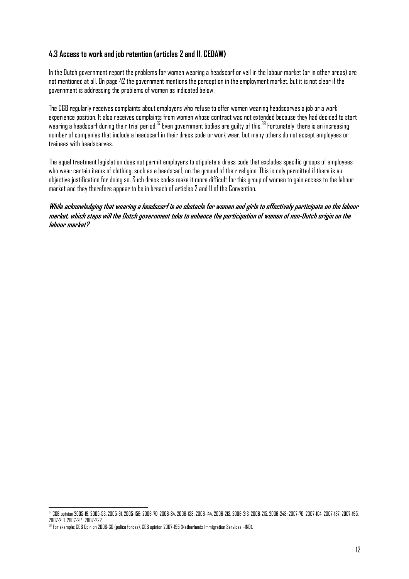## **4.3 Access to work and job retention (articles 2 and 11, CEDAW)**

In the Dutch government report the problems for women wearing a headscarf or veil in the labour market (or in other areas) are not mentioned at all. On page 42 the government mentions the perception in the employment market, but it is not clear if the government is addressing the problems of women as indicated below.

The CGB regularly receives complaints about employers who refuse to offer women wearing headscarves a job or a work experience position. It also receives complaints from women whose contract was not extended because they had decided to start wearing a headscarf during their trial period.<sup>37</sup> Even government bodies are guilty of this.<sup>38</sup> Fortunately, there is an increasing number of companies that include a headscarf in their dress code or work wear, but many others do not accept employees or trainees with headscarves.

The equal treatment legislation does not permit employers to stipulate a dress code that excludes specific groups of employees who wear certain items of clothing, such as a headscarf, on the ground of their religion. This is only permitted if there is an objective justification for doing so. Such dress codes make it more difficult for this group of women to gain access to the labour market and they therefore appear to be in breach of articles 2 and 11 of the Convention.

**While acknowledging that wearing a headscarf is an obstacle for women and girls to effectively participate on the labour market, which steps will the Dutch government take to enhance the participation of women of non-Dutch origin on the labour market?** 

 $\overline{a}$ 37 CGB opinion 2005-19, 2005-53, 2005-91, 2005-156; 2006-70, 2006-84, 2006-138, 2006-144, 2006-213, 2006-213, 2006-215, 2006-248; 2007-70, 2007-104, 2007-137, 2007-195, 2007-213, 2007-214, 2007-222.

<sup>38</sup> For example: CGB Opinion 2006-30 (police forces), CGB opinion 2007-195 (Netherlands Immigration Services –IND).